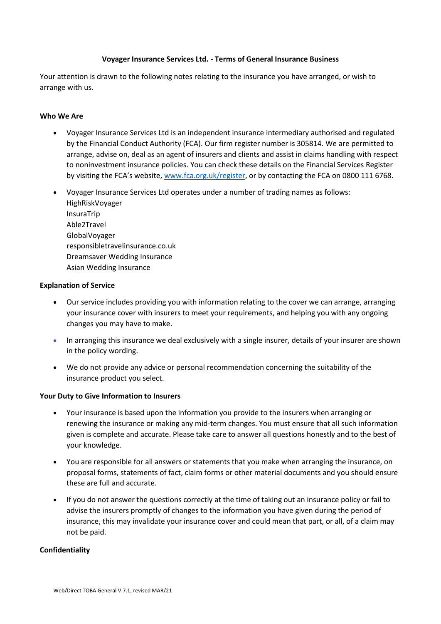## **Voyager Insurance Services Ltd. - Terms of General Insurance Business**

Your attention is drawn to the following notes relating to the insurance you have arranged, or wish to arrange with us.

## **Who We Are**

- Voyager Insurance Services Ltd is an independent insurance intermediary authorised and regulated by the Financial Conduct Authority (FCA). Our firm register number is 305814. We are permitted to arrange, advise on, deal as an agent of insurers and clients and assist in claims handling with respect to noninvestment insurance policies. You can check these details on the Financial Services Register by visiting the FCA's website, [www.fca.org.uk/register,](http://www.fca.org.uk/register) or by contacting the FCA on 0800 111 6768.
- Voyager Insurance Services Ltd operates under a number of trading names as follows: HighRiskVoyager InsuraTrip Able2Travel GlobalVoyager responsibletravelinsurance.co.uk Dreamsaver Wedding Insurance Asian Wedding Insurance

### **Explanation of Service**

- Our service includes providing you with information relating to the cover we can arrange, arranging your insurance cover with insurers to meet your requirements, and helping you with any ongoing changes you may have to make.
- In arranging this insurance we deal exclusively with a single insurer, details of your insurer are shown in the policy wording.
- We do not provide any advice or personal recommendation concerning the suitability of the insurance product you select.

### **Your Duty to Give Information to Insurers**

- Your insurance is based upon the information you provide to the insurers when arranging or renewing the insurance or making any mid-term changes. You must ensure that all such information given is complete and accurate. Please take care to answer all questions honestly and to the best of your knowledge.
- You are responsible for all answers or statements that you make when arranging the insurance, on proposal forms, statements of fact, claim forms or other material documents and you should ensure these are full and accurate.
- If you do not answer the questions correctly at the time of taking out an insurance policy or fail to advise the insurers promptly of changes to the information you have given during the period of insurance, this may invalidate your insurance cover and could mean that part, or all, of a claim may not be paid.

### **Confidentiality**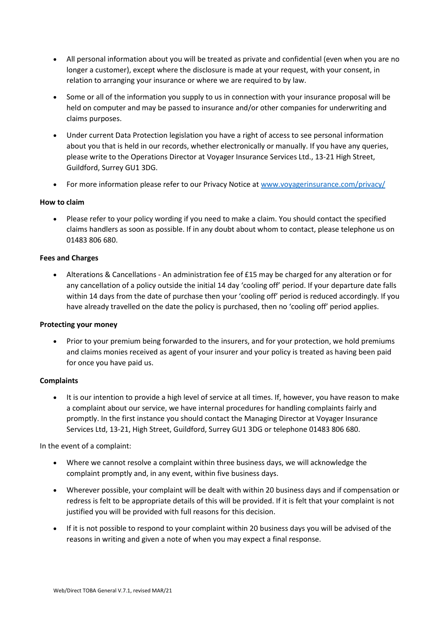- All personal information about you will be treated as private and confidential (even when you are no longer a customer), except where the disclosure is made at your request, with your consent, in relation to arranging your insurance or where we are required to by law.
- Some or all of the information you supply to us in connection with your insurance proposal will be held on computer and may be passed to insurance and/or other companies for underwriting and claims purposes.
- Under current Data Protection legislation you have a right of access to see personal information about you that is held in our records, whether electronically or manually. If you have any queries, please write to the Operations Director at Voyager Insurance Services Ltd., 13-21 High Street, Guildford, Surrey GU1 3DG.
- For more information please refer to our Privacy Notice at [www.voyagerinsurance.com/privacy/](http://www.voyagerinsurance.com/privacy/)

# **How to claim**

• Please refer to your policy wording if you need to make a claim. You should contact the specified claims handlers as soon as possible. If in any doubt about whom to contact, please telephone us on 01483 806 680.

## **Fees and Charges**

• Alterations & Cancellations - An administration fee of £15 may be charged for any alteration or for any cancellation of a policy outside the initial 14 day 'cooling off' period. If your departure date falls within 14 days from the date of purchase then your 'cooling off' period is reduced accordingly. If you have already travelled on the date the policy is purchased, then no 'cooling off' period applies.

## **Protecting your money**

• Prior to your premium being forwarded to the insurers, and for your protection, we hold premiums and claims monies received as agent of your insurer and your policy is treated as having been paid for once you have paid us.

## **Complaints**

• It is our intention to provide a high level of service at all times. If, however, you have reason to make a complaint about our service, we have internal procedures for handling complaints fairly and promptly. In the first instance you should contact the Managing Director at Voyager Insurance Services Ltd, 13-21, High Street, Guildford, Surrey GU1 3DG or telephone 01483 806 680.

In the event of a complaint:

- Where we cannot resolve a complaint within three business days, we will acknowledge the complaint promptly and, in any event, within five business days.
- Wherever possible, your complaint will be dealt with within 20 business days and if compensation or redress is felt to be appropriate details of this will be provided. If it is felt that your complaint is not justified you will be provided with full reasons for this decision.
- If it is not possible to respond to your complaint within 20 business days you will be advised of the reasons in writing and given a note of when you may expect a final response.